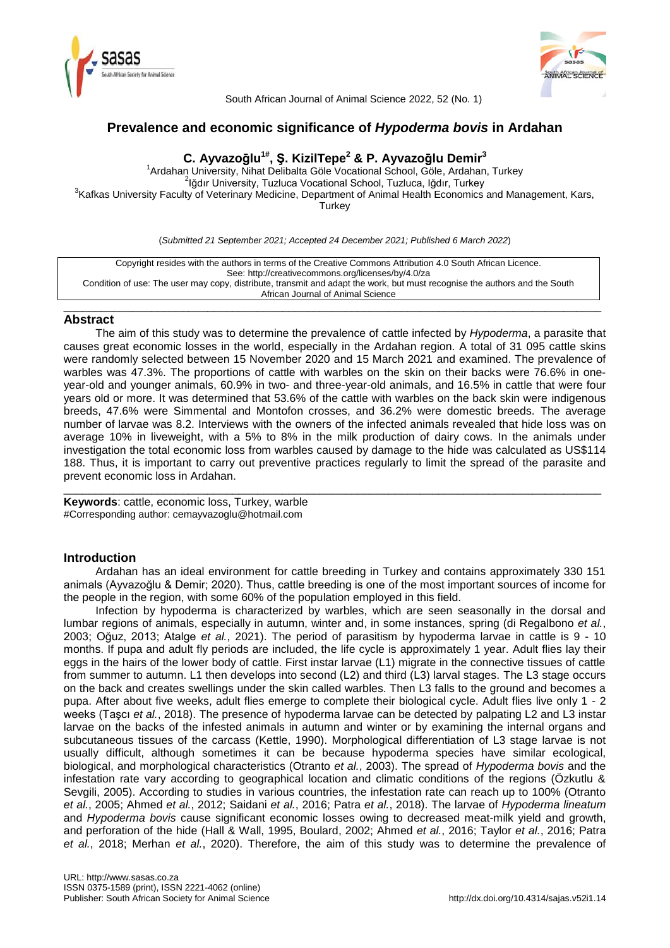



South African Journal of Animal Science 2022, 52 (No. 1)

# **Prevalence and economic significance of** *Hypoderma bovis* **in Ardahan**

# **C. Ayvazoḡlu1# , Ş. KizilTepe<sup>2</sup> & P. Ayvazoḡlu Demir<sup>3</sup>**

<sup>1</sup> Ardahan University, Nihat Delibalta Göle Vocational School, Göle, Ardahan, Turkey <sup>2</sup>lğdır University, Tuzluca Vocational School, Tuzluca, Iğdır, Turkey <sup>3</sup>Kafkas University Faculty of Veterinary Medicine, Department of Animal Health Economics and Management, Kars, **Turkey** 

(*Submitted 21 September 2021; Accepted 24 December 2021; Published 6 March 2022*)

Copyright resides with the authors in terms of the Creative Commons Attribution 4.0 South African Licence. See: http://creativecommons.org/licenses/by/4.0/za Condition of use: The user may copy, distribute, transmit and adapt the work, but must recognise the authors and the South African Journal of Animal Science

\_\_\_\_\_\_\_\_\_\_\_\_\_\_\_\_\_\_\_\_\_\_\_\_\_\_\_\_\_\_\_\_\_\_\_\_\_\_\_\_\_\_\_\_\_\_\_\_\_\_\_\_\_\_\_\_\_\_\_\_\_\_\_\_\_\_\_\_\_\_\_\_\_\_\_\_\_\_\_\_\_\_\_\_\_\_

## **Abstract**

The aim of this study was to determine the prevalence of cattle infected by *Hypoderma*, a parasite that causes great economic losses in the world, especially in the Ardahan region. A total of 31 095 cattle skins were randomly selected between 15 November 2020 and 15 March 2021 and examined. The prevalence of warbles was 47.3%. The proportions of cattle with warbles on the skin on their backs were 76.6% in oneyear-old and younger animals, 60.9% in two- and three-year-old animals, and 16.5% in cattle that were four years old or more. It was determined that 53.6% of the cattle with warbles on the back skin were indigenous breeds, 47.6% were Simmental and Montofon crosses, and 36.2% were domestic breeds. The average number of larvae was 8.2. Interviews with the owners of the infected animals revealed that hide loss was on average 10% in liveweight, with a 5% to 8% in the milk production of dairy cows. In the animals under investigation the total economic loss from warbles caused by damage to the hide was calculated as US\$114 188. Thus, it is important to carry out preventive practices regularly to limit the spread of the parasite and prevent economic loss in Ardahan.

\_\_\_\_\_\_\_\_\_\_\_\_\_\_\_\_\_\_\_\_\_\_\_\_\_\_\_\_\_\_\_\_\_\_\_\_\_\_\_\_\_\_\_\_\_\_\_\_\_\_\_\_\_\_\_\_\_\_\_\_\_\_\_\_\_\_\_\_\_\_\_\_\_\_\_\_\_\_\_\_\_\_\_\_\_\_

**Keywords**: cattle, economic loss, Turkey, warble #Corresponding author: cemayvazoglu@hotmail.com

## **Introduction**

Ardahan has an ideal environment for cattle breeding in Turkey and contains approximately 330 151 animals (Ayvazoğlu & Demir; 2020). Thus, cattle breeding is one of the most important sources of income for the people in the region, with some 60% of the population employed in this field.

Infection by hypoderma is characterized by warbles, which are seen seasonally in the dorsal and lumbar regions of animals, especially in autumn, winter and, in some instances, spring (di Regalbono *et al.*, 2003; Oğuz, 2013; Atalge *et al.*, 2021). The period of parasitism by hypoderma larvae in cattle is 9 - 10 months. If pupa and adult fly periods are included, the life cycle is approximately 1 year. Adult flies lay their eggs in the hairs of the lower body of cattle. First instar larvae (L1) migrate in the connective tissues of cattle from summer to autumn. L1 then develops into second (L2) and third (L3) larval stages. The L3 stage occurs on the back and creates swellings under the skin called warbles. Then L3 falls to the ground and becomes a pupa. After about five weeks, adult flies emerge to complete their biological cycle. Adult flies live only 1 - 2 weeks (Taşcı *et al.*, 2018). The presence of hypoderma larvae can be detected by palpating L2 and L3 instar larvae on the backs of the infested animals in autumn and winter or by examining the internal organs and subcutaneous tissues of the carcass (Kettle, 1990). Morphological differentiation of L3 stage larvae is not usually difficult, although sometimes it can be because hypoderma species have similar ecological, biological, and morphological characteristics (Otranto *et al.*, 2003). The spread of *Hypoderma bovis* and the infestation rate vary according to geographical location and climatic conditions of the regions (Özkutlu & Sevgili, 2005). According to studies in various countries, the infestation rate can reach up to 100% (Otranto *et al.*, 2005; Ahmed *et al.*, 2012; Saidani *et al.*, 2016; Patra *et al.*, 2018). The larvae of *Hypoderma lineatum* and *Hypoderma bovis* cause significant economic losses owing to decreased meat-milk yield and growth, and perforation of the hide (Hall & Wall, 1995, Boulard, 2002; Ahmed *et al.*, 2016; Taylor *et al.*, 2016; Patra *et al.*, 2018; Merhan *et al.*, 2020). Therefore, the aim of this study was to determine the prevalence of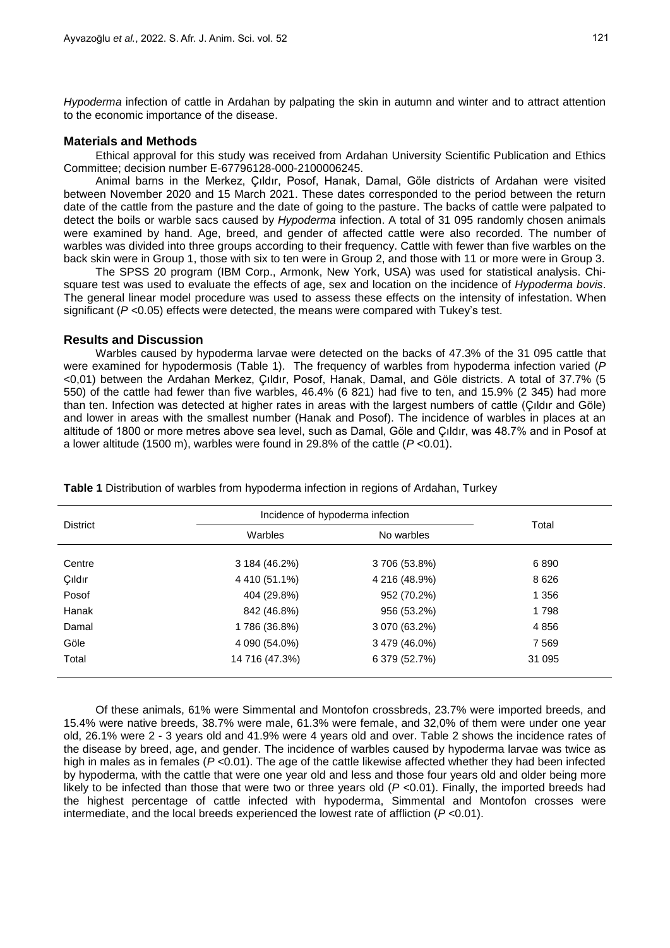*Hypoderma* infection of cattle in Ardahan by palpating the skin in autumn and winter and to attract attention to the economic importance of the disease.

### **Materials and Methods**

Ethical approval for this study was received from Ardahan University Scientific Publication and Ethics Committee; decision number E-67796128-000-2100006245.

Animal barns in the Merkez, Çıldır, Posof, Hanak, Damal, Göle districts of Ardahan were visited between November 2020 and 15 March 2021. These dates corresponded to the period between the return date of the cattle from the pasture and the date of going to the pasture. The backs of cattle were palpated to detect the boils or warble sacs caused by *Hypoderma* infection. A total of 31 095 randomly chosen animals were examined by hand. Age, breed, and gender of affected cattle were also recorded. The number of warbles was divided into three groups according to their frequency. Cattle with fewer than five warbles on the back skin were in Group 1, those with six to ten were in Group 2, and those with 11 or more were in Group 3.

The SPSS 20 program (IBM Corp., Armonk, New York, USA) was used for statistical analysis. Chisquare test was used to evaluate the effects of age, sex and location on the incidence of *Hypoderma bovis*. The general linear model procedure was used to assess these effects on the intensity of infestation. When significant (*P* <0.05) effects were detected, the means were compared with Tukey's test.

### **Results and Discussion**

Warbles caused by hypoderma larvae were detected on the backs of 47.3% of the 31 095 cattle that were examined for hypodermosis (Table 1). The frequency of warbles from hypoderma infection varied (*P* <0,01) between the Ardahan Merkez, Çıldır, Posof, Hanak, Damal, and Göle districts. A total of 37.7% (5 550) of the cattle had fewer than five warbles, 46.4% (6 821) had five to ten, and 15.9% (2 345) had more than ten. Infection was detected at higher rates in areas with the largest numbers of cattle (Çıldır and Göle) and lower in areas with the smallest number (Hanak and Posof). The incidence of warbles in places at an altitude of 1800 or more metres above sea level, such as Damal, Göle and Çıldır, was 48.7% and in Posof at a lower altitude (1500 m), warbles were found in 29.8% of the cattle (*P* <0.01).

| <b>District</b> | Incidence of hypoderma infection |               |         |  |
|-----------------|----------------------------------|---------------|---------|--|
|                 | Warbles                          | No warbles    | Total   |  |
| Centre          | 3 184 (46.2%)                    | 3706 (53.8%)  | 6890    |  |
| Çıldır          | 4 410 (51.1%)                    | 4 216 (48.9%) | 8626    |  |
| Posof           | 404 (29.8%)                      | 952 (70.2%)   | 1 3 5 6 |  |
| Hanak           | 842 (46.8%)                      | 956 (53.2%)   | 1798    |  |
| Damal           | 1786 (36.8%)                     | 3 070 (63.2%) | 4856    |  |
| Göle            | 4 090 (54.0%)                    | 3 479 (46.0%) | 7569    |  |
| Total           | 14 716 (47.3%)                   | 6 379 (52.7%) | 31 095  |  |

**Table 1** Distribution of warbles from hypoderma infection in regions of Ardahan, Turkey

Of these animals, 61% were Simmental and Montofon crossbreds, 23.7% were imported breeds, and 15.4% were native breeds, 38.7% were male, 61.3% were female, and 32,0% of them were under one year old, 26.1% were 2 - 3 years old and 41.9% were 4 years old and over. Table 2 shows the incidence rates of the disease by breed, age, and gender. The incidence of warbles caused by hypoderma larvae was twice as high in males as in females ( $P < 0.01$ ). The age of the cattle likewise affected whether they had been infected by hypoderma*,* with the cattle that were one year old and less and those four years old and older being more likely to be infected than those that were two or three years old  $(P < 0.01)$ . Finally, the imported breeds had the highest percentage of cattle infected with hypoderma, Simmental and Montofon crosses were intermediate, and the local breeds experienced the lowest rate of affliction (*P* <0.01).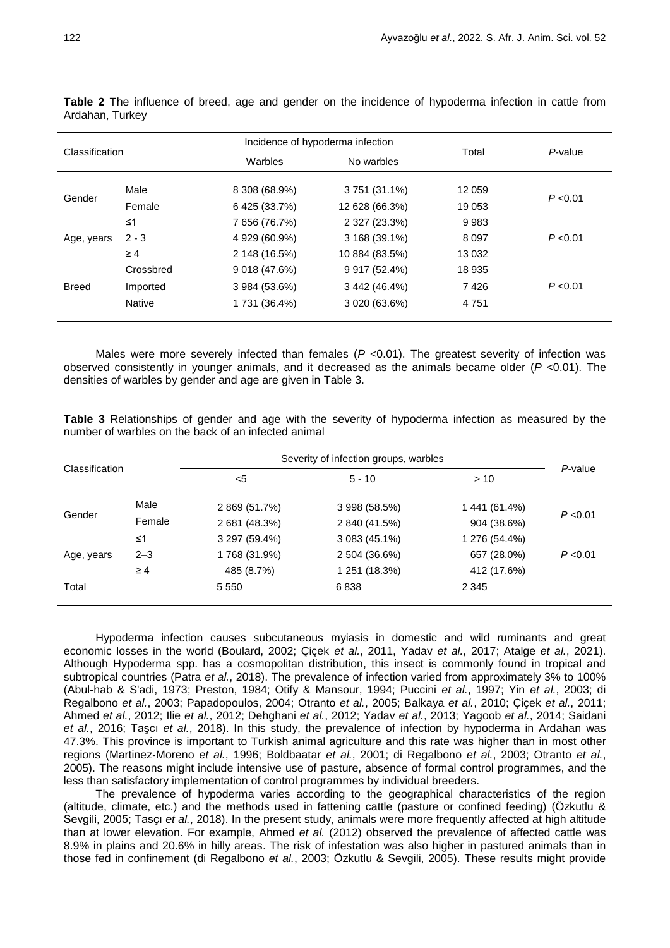| Classification |               |               | Incidence of hypoderma infection |         |          |
|----------------|---------------|---------------|----------------------------------|---------|----------|
|                |               | Warbles       | No warbles                       | Total   | P-value  |
| Gender         | Male          | 8 308 (68.9%) | 3 751 (31.1%)                    | 12 059  |          |
|                | Female        | 6 425 (33.7%) | 12 628 (66.3%)                   | 19 053  | P < 0.01 |
| Age, years     | $\leq 1$      | 7 656 (76.7%) | 2 327 (23.3%)                    | 9983    |          |
|                | $2 - 3$       | 4 929 (60.9%) | 3 168 (39.1%)                    | 8 0 9 7 | P < 0.01 |
|                | $\geq 4$      | 2 148 (16.5%) | 10 884 (83.5%)                   | 13 0 32 |          |
| <b>Breed</b>   | Crossbred     | 9 018 (47.6%) | 9 917 (52.4%)                    | 18 935  |          |
|                | Imported      | 3 984 (53.6%) | 3 442 (46.4%)                    | 7426    | P < 0.01 |
|                | <b>Native</b> | 1 731 (36.4%) | 3 020 (63.6%)                    | 4 7 5 1 |          |

**Table 2** The influence of breed, age and gender on the incidence of hypoderma infection in cattle from Ardahan, Turkey

Males were more severely infected than females ( $P \lt 0.01$ ). The greatest severity of infection was observed consistently in younger animals, and it decreased as the animals became older (*P* <0.01). The densities of warbles by gender and age are given in Table 3.

**Table 3** Relationships of gender and age with the severity of hypoderma infection as measured by the number of warbles on the back of an infected animal

| Classification |          | Severity of infection groups, warbles |               |               | P-value  |
|----------------|----------|---------------------------------------|---------------|---------------|----------|
|                |          | $<$ 5                                 | $5 - 10$      | >10           |          |
| Gender         | Male     | 2 869 (51.7%)                         | 3 998 (58.5%) | 1 441 (61.4%) | P < 0.01 |
|                | Female   | 2 681 (48.3%)                         | 2 840 (41.5%) | 904 (38.6%)   |          |
| Age, years     | ≤1       | 3 297 (59.4%)                         | 3 083 (45.1%) | 1 276 (54.4%) |          |
|                | $2 - 3$  | 1768 (31.9%)                          | 2 504 (36.6%) | 657 (28.0%)   | P < 0.01 |
|                | $\geq 4$ | 485 (8.7%)                            | 1 251 (18.3%) | 412 (17.6%)   |          |
| Total          |          | 5 5 5 0                               | 6838          | 2 3 4 5       |          |

Hypoderma infection causes subcutaneous myiasis in domestic and wild ruminants and great economic losses in the world (Boulard, 2002; Çiçek *et al.*, 2011, Yadav *et al.*, 2017; Atalge *et al.*, 2021). Although Hypoderma spp. has a cosmopolitan distribution, this insect is commonly found in tropical and subtropical countries (Patra *et al.*, 2018). The prevalence of infection varied from approximately 3% to 100% (Abul-hab & S'adi, 1973; Preston, 1984; Otify & Mansour, 1994; Puccini *et al.*, 1997; Yin *et al.*, 2003; di Regalbono *et al.*, 2003; Papadopoulos, 2004; Otranto *et al.*, 2005; Balkaya *et al.*, 2010; Çiçek *et al.*, 2011; Ahmed *et al.*, 2012; Ilie *et al.*, 2012; Dehghani *et al.*, 2012; Yadav *et al.*, 2013; Yagoob *et al.*, 2014; Saidani *et al.*, 2016; Taşcı *et al.*, 2018). In this study, the prevalence of infection by hypoderma in Ardahan was 47.3%. This province is important to Turkish animal agriculture and this rate was higher than in most other regions (Martinez‐Moreno *et al.*, 1996; Boldbaatar *et al.*, 2001; di Regalbono *et al.*, 2003; Otranto *et al.*, 2005). The reasons might include intensive use of pasture, absence of formal control programmes, and the less than satisfactory implementation of control programmes by individual breeders.

The prevalence of hypoderma varies according to the geographical characteristics of the region (altitude, climate, etc.) and the methods used in fattening cattle (pasture or confined feeding) (Özkutlu & Sevgili, 2005; Tasçı *et al.*, 2018). In the present study, animals were more frequently affected at high altitude than at lower elevation. For example, Ahmed *et al.* (2012) observed the prevalence of affected cattle was 8.9% in plains and 20.6% in hilly areas. The risk of infestation was also higher in pastured animals than in those fed in confinement (di Regalbono *et al.*, 2003; Özkutlu & Sevgili, 2005). These results might provide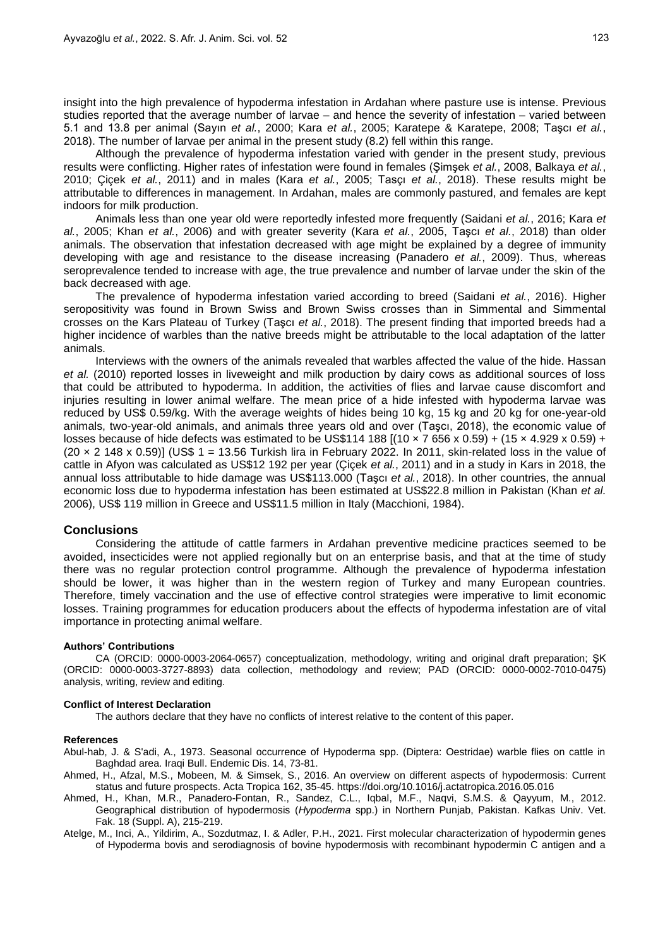insight into the high prevalence of hypoderma infestation in Ardahan where pasture use is intense. Previous studies reported that the average number of larvae – and hence the severity of infestation – varied between 5.1 and 13.8 per animal (Sayın *et al.*, 2000; Kara *et al.*, 2005; Karatepe & Karatepe, 2008; Taşcı *et al.*, 2018). The number of larvae per animal in the present study (8.2) fell within this range.

Although the prevalence of hypoderma infestation varied with gender in the present study, previous results were conflicting. Higher rates of infestation were found in females (Şimşek *et al.*, 2008, Balkaya *et al.*, 2010; Çiçek *et al.*, 2011) and in males (Kara *et al.*, 2005; Tasçı *et al.*, 2018). These results might be attributable to differences in management. In Ardahan, males are commonly pastured, and females are kept indoors for milk production.

Animals less than one year old were reportedly infested more frequently (Saidani *et al.*, 2016; Kara *et al.*, 2005; Khan *et al.*, 2006) and with greater severity (Kara *et al.*, 2005, Taşcı *et al.*, 2018) than older animals. The observation that infestation decreased with age might be explained by a degree of immunity developing with age and resistance to the disease increasing (Panadero *et al.*, 2009). Thus, whereas seroprevalence tended to increase with age, the true prevalence and number of larvae under the skin of the back decreased with age.

The prevalence of hypoderma infestation varied according to breed (Saidani *et al.*, 2016). Higher seropositivity was found in Brown Swiss and Brown Swiss crosses than in Simmental and Simmental crosses on the Kars Plateau of Turkey (Taşcı *et al.*, 2018). The present finding that imported breeds had a higher incidence of warbles than the native breeds might be attributable to the local adaptation of the latter animals.

Interviews with the owners of the animals revealed that warbles affected the value of the hide. Hassan *et al.* (2010) reported losses in liveweight and milk production by dairy cows as additional sources of loss that could be attributed to hypoderma. In addition, the activities of flies and larvae cause discomfort and injuries resulting in lower animal welfare. The mean price of a hide infested with hypoderma larvae was reduced by US\$ 0.59/kg. With the average weights of hides being 10 kg, 15 kg and 20 kg for one-year-old animals, two-year-old animals, and animals three years old and over (Taşcı, 2018), the economic value of losses because of hide defects was estimated to be US\$114 188  $[(10 \times 7 \cdot 656 \times 0.59) + (15 \times 4.929 \times 0.59) +$  $(20 \times 2 \text{ 148} \times 0.59)$ ] (US\$ 1 = 13.56 Turkish lira in February 2022. In 2011, skin-related loss in the value of cattle in Afyon was calculated as US\$12 192 per year (Çiçek *et al.*, 2011) and in a study in Kars in 2018, the annual loss attributable to hide damage was US\$113.000 (Taşcı *et al.*, 2018). In other countries, the annual economic loss due to hypoderma infestation has been estimated at US\$22.8 million in Pakistan (Khan *et al.* 2006), US\$ 119 million in Greece and US\$11.5 million in Italy (Macchioni, 1984).

### **Conclusions**

Considering the attitude of cattle farmers in Ardahan preventive medicine practices seemed to be avoided, insecticides were not applied regionally but on an enterprise basis, and that at the time of study there was no regular protection control programme. Although the prevalence of hypoderma infestation should be lower, it was higher than in the western region of Turkey and many European countries. Therefore, timely vaccination and the use of effective control strategies were imperative to limit economic losses. Training programmes for education producers about the effects of hypoderma infestation are of vital importance in protecting animal welfare.

#### **Authors' Contributions**

CA (ORCID: 0000-0003-2064-0657) conceptualization, methodology, writing and original draft preparation; ŞK (ORCID: 0000-0003-3727-8893) data collection, methodology and review; PAD (ORCID: 0000-0002-7010-0475) analysis, writing, review and editing.

#### **Conflict of Interest Declaration**

The authors declare that they have no conflicts of interest relative to the content of this paper.

#### **References**

Abul-hab, J. & S'adi, A., 1973. Seasonal occurrence of Hypoderma spp. (Diptera: Oestridae) warble flies on cattle in Baghdad area. Iraqi Bull. Endemic Dis. 14, 73-81.

- Ahmed, H., Afzal, M.S., Mobeen, M. & Simsek, S., 2016. An overview on different aspects of hypodermosis: Current status and future prospects. Acta Tropica 162, 35-45. https://doi.org/10.1016/j.actatropica.2016.05.016
- Ahmed, H., Khan, M.R., Panadero-Fontan, R., Sandez, C.L., Iqbal, M.F., Naqvi, S.M.S. & Qayyum, M., 2012. Geographical distribution of hypodermosis (*Hypoderma* spp.) in Northern Punjab, Pakistan. Kafkas Univ. Vet. Fak. 18 (Suppl. A), 215-219.
- Atelge, M., Inci, A., Yildirim, A., Sozdutmaz, I. & Adler, P.H., 2021. First molecular characterization of hypodermin genes of Hypoderma bovis and serodiagnosis of bovine hypodermosis with recombinant hypodermin C antigen and a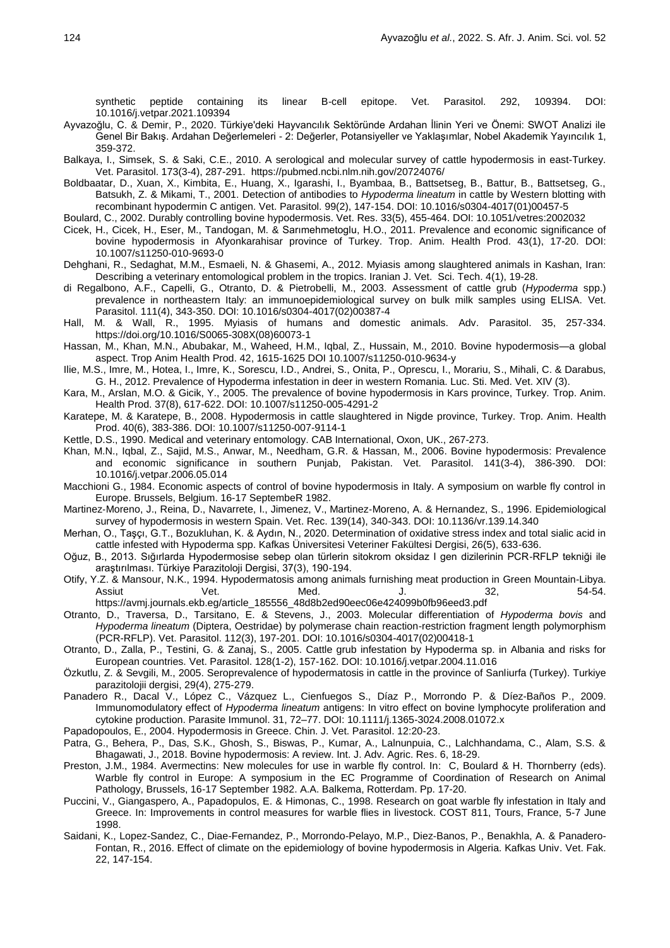synthetic peptide containing its linear B-cell epitope. Vet. Parasitol. 292, 109394. DOI: 10.1016/j.vetpar.2021.109394

- Ayvazoğlu, C. & Demir, P., 2020. Türkiye'deki Hayvancılık Sektöründe Ardahan İlinin Yeri ve Önemi: SWOT Analizi ile Genel Bir Bakış. Ardahan Değerlemeleri - 2: Değerler, Potansiyeller ve Yaklaşımlar, Nobel Akademik Yayıncılık 1, 359-372.
- Balkaya, I., Simsek, S. & Saki, C.E., 2010. A serological and molecular survey of cattle hypodermosis in east-Turkey. Vet. Parasitol. 173(3-4), 287-291. https://pubmed.ncbi.nlm.nih.gov/20724076/
- Boldbaatar, D., Xuan, X., Kimbita, E., Huang, X., Igarashi, I., Byambaa, B., Battsetseg, B., Battur, B., Battsetseg, G., Batsukh, Z. & Mikami, T., 2001. Detection of antibodies to *Hypoderma lineatum* in cattle by Western blotting with recombinant hypodermin C antigen. Vet. Parasitol. 99(2), 147-154. DOI: 10.1016/s0304-4017(01)00457-5
- Boulard, C., 2002. Durably controlling bovine hypodermosis. Vet. Res. 33(5), 455-464. DOI: 10.1051/vetres:2002032
- Cicek, H., Cicek, H., Eser, M., Tandogan, M. & Sarımehmetoglu, H.O., 2011. Prevalence and economic significance of bovine hypodermosis in Afyonkarahisar province of Turkey. Trop. Anim. Health Prod. 43(1), 17-20. DOI: 10.1007/s11250-010-9693-0
- Dehghani, R., Sedaghat, M.M., Esmaeli, N. & Ghasemi, A., 2012. Myiasis among slaughtered animals in Kashan, Iran: Describing a veterinary entomological problem in the tropics. Iranian J. Vet. Sci. Tech. 4(1), 19-28.
- di Regalbono, A.F., Capelli, G., Otranto, D. & Pietrobelli, M., 2003. Assessment of cattle grub (*Hypoderma* spp.) prevalence in northeastern Italy: an immunoepidemiological survey on bulk milk samples using ELISA. Vet. Parasitol. 111(4), 343-350. DOI: 10.1016/s0304-4017(02)00387-4
- Hall, M. & Wall, R., 1995. Myiasis of humans and domestic animals. Adv. Parasitol. 35, 257-334. https://doi.org/10.1016/S0065-308X(08)60073-1
- Hassan, M., Khan, M.N., Abubakar, M., Waheed, H.M., Iqbal, Z., Hussain, M., 2010. Bovine hypodermosis—a global aspect. Trop Anim Health Prod. 42, 1615-1625 DOI 10.1007/s11250-010-9634-y
- Ilie, M.S., Imre, M., Hotea, I., Imre, K., Sorescu, I.D., Andrei, S., Onita, P., Oprescu, I., Morariu, S., Mihali, C. & Darabus, G. H., 2012. Prevalence of Hypoderma infestation in deer in western Romania. Luc. Sti. Med. Vet. XIV (3).
- Kara, M., Arslan, M.O. & Gicik, Y., 2005. The prevalence of bovine hypodermosis in Kars province, Turkey. Trop. Anim. Health Prod. 37(8), 617-622. DOI: 10.1007/s11250-005-4291-2
- Karatepe, M. & Karatepe, B., 2008. Hypodermosis in cattle slaughtered in Nigde province, Turkey. Trop. Anim. Health Prod. 40(6), 383-386. DOI: 10.1007/s11250-007-9114-1
- Kettle, D.S., 1990. Medical and veterinary entomology. CAB International, Oxon, UK., 267-273.
- Khan, M.N., Iqbal, Z., Sajid, M.S., Anwar, M., Needham, G.R. & Hassan, M., 2006. Bovine hypodermosis: Prevalence and economic significance in southern Punjab, Pakistan. Vet. Parasitol. 141(3-4), 386-390. DOI: 10.1016/j.vetpar.2006.05.014
- Macchioni G., 1984. Economic aspects of control of bovine hypodermosis in Italy. A symposium on warble fly control in Europe. Brussels, Belgium. 16-17 SeptembeR 1982.
- Martinez‐Moreno, J., Reina, D., Navarrete, I., Jimenez, V., Martinez‐Moreno, A. & Hernandez, S., 1996. Epidemiological survey of hypodermosis in western Spain. Vet. Rec. 139(14), 340-343. DOI: 10.1136/vr.139.14.340
- Merhan, O., Taşçı, G.T., Bozukluhan, K. & Aydın, N., 2020. Determination of oxidative stress index and total sialic acid in cattle infested with Hypoderma spp. Kafkas Üniversitesi Veteriner Fakültesi Dergisi, 26(5), 633-636.
- Oğuz, B., 2013. Sığırlarda Hypodermosise sebep olan türlerin sitokrom oksidaz I gen dizilerinin PCR-RFLP tekniği ile araştırılması. Türkiye Parazitoloji Dergisi, 37(3), 190-194.
- Otify, Y.Z. & Mansour, N.K., 1994. Hypodermatosis among animals furnishing meat production in Green Mountain-Libya. Assiut Vet. Med. J. 32, 54-54. https://avmj.journals.ekb.eg/article\_185556\_48d8b2ed90eec06e424099b0fb96eed3.pdf

Otranto, D., Traversa, D., Tarsitano, E. & Stevens, J., 2003. Molecular differentiation of *Hypoderma bovis* and *Hypoderma lineatum* (Diptera, Oestridae) by polymerase chain reaction-restriction fragment length polymorphism (PCR-RFLP). Vet. Parasitol. 112(3), 197-201. DOI: 10.1016/s0304-4017(02)00418-1

- Otranto, D., Zalla, P., Testini, G. & Zanaj, S., 2005. Cattle grub infestation by Hypoderma sp. in Albania and risks for European countries. Vet. Parasitol. 128(1-2), 157-162. DOI: 10.1016/j.vetpar.2004.11.016
- Özkutlu, Z. & Sevgili, M., 2005. Seroprevalence of hypodermatosis in cattle in the province of Sanliurfa (Turkey). Turkiye parazitolojii dergisi, 29(4), 275-279.
- Panadero R., Dacal V., López C., Vázquez L., Cienfuegos S., Díaz P., Morrondo P. & Díez-Baños P., 2009. Immunomodulatory effect of *Hypoderma lineatum* antigens: In vitro effect on bovine lymphocyte proliferation and cytokine production. Parasite Immunol. 31, 72–77. DOI: 10.1111/j.1365-3024.2008.01072.x
- Papadopoulos, E., 2004. Hypodermosis in Greece. Chin. J. Vet. Parasitol. 12:20-23.
- Patra, G., Behera, P., Das, S.K., Ghosh, S., Biswas, P., Kumar, A., Lalnunpuia, C., Lalchhandama, C., Alam, S.S. & Bhagawati, J., 2018. Bovine hypodermosis: A review. Int. J. Adv. Agric. Res. 6, 18-29.
- Preston, J.M., 1984. Avermectins: New molecules for use in warble fly control. In: C, Boulard & H. Thornberry (eds). Warble fly control in Europe: A symposium in the EC Programme of Coordination of Research on Animal Pathology, Brussels, 16-17 September 1982. A.A. Balkema, Rotterdam. Pp. 17-20.
- Puccini, V., Giangaspero, A., Papadopulos, E. & Himonas, C., 1998. Research on goat warble fly infestation in Italy and Greece. In: Improvements in control measures for warble flies in livestock. COST 811, Tours, France, 5-7 June 1998.
- Saidani, K., Lopez-Sandez, C., Diae-Fernandez, P., Morrondo-Pelayo, M.P., Diez-Banos, P., Benakhla, A. & Panadero-Fontan, R., 2016. Effect of climate on the epidemiology of bovine hypodermosis in Algeria. Kafkas Univ. Vet. Fak. 22, 147-154.